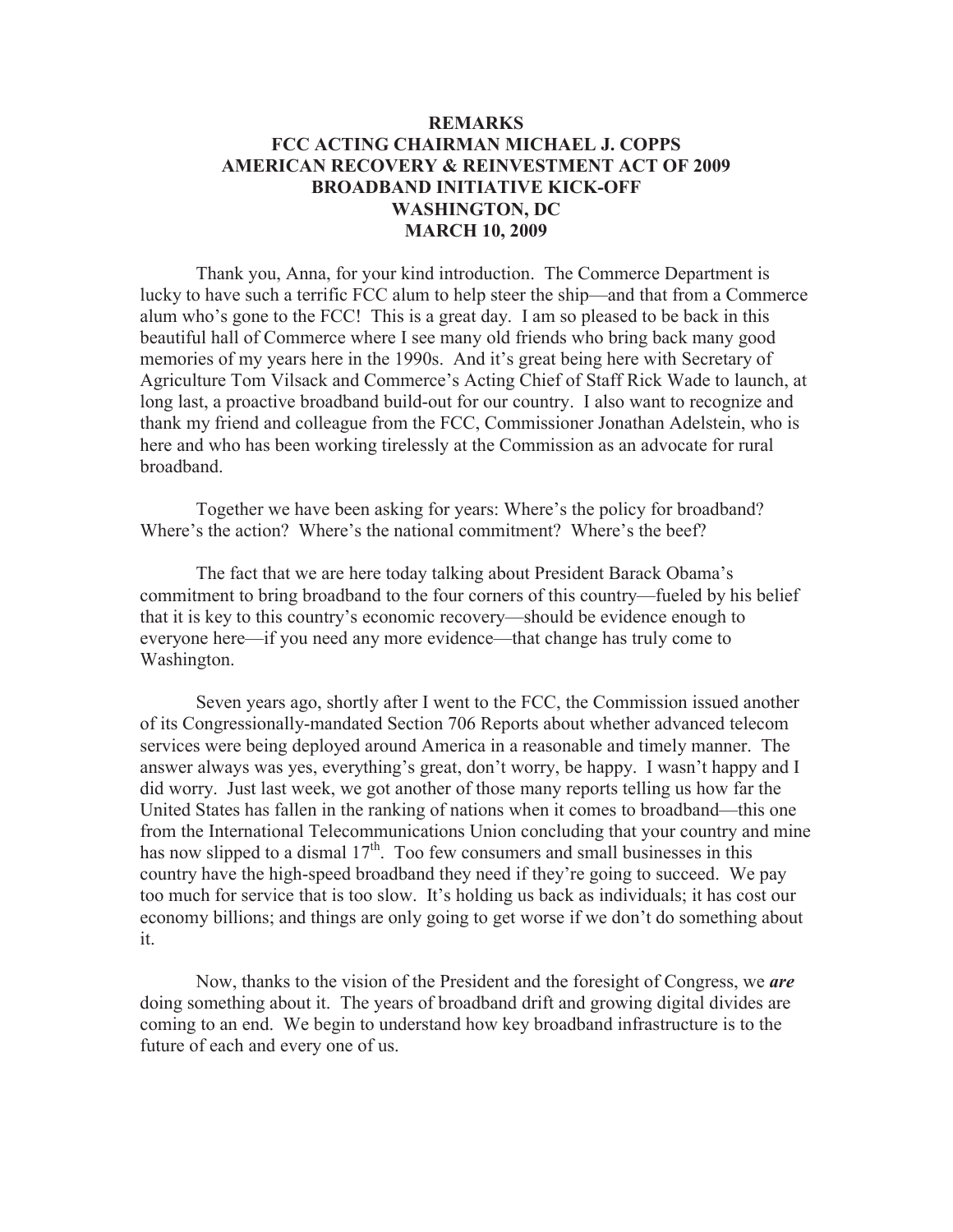## **REMARKS FCC ACTING CHAIRMAN MICHAEL J. COPPS AMERICAN RECOVERY & REINVESTMENT ACT OF 2009 BROADBAND INITIATIVE KICK-OFF WASHINGTON, DC MARCH 10, 2009**

Thank you, Anna, for your kind introduction. The Commerce Department is lucky to have such a terrific FCC alum to help steer the ship—and that from a Commerce alum who's gone to the FCC! This is a great day. I am so pleased to be back in this beautiful hall of Commerce where I see many old friends who bring back many good memories of my years here in the 1990s. And it's great being here with Secretary of Agriculture Tom Vilsack and Commerce's Acting Chief of Staff Rick Wade to launch, at long last, a proactive broadband build-out for our country. I also want to recognize and thank my friend and colleague from the FCC, Commissioner Jonathan Adelstein, who is here and who has been working tirelessly at the Commission as an advocate for rural broadband.

Together we have been asking for years: Where's the policy for broadband? Where's the action? Where's the national commitment? Where's the beef?

The fact that we are here today talking about President Barack Obama's commitment to bring broadband to the four corners of this country—fueled by his belief that it is key to this country's economic recovery—should be evidence enough to everyone here—if you need any more evidence—that change has truly come to Washington.

Seven years ago, shortly after I went to the FCC, the Commission issued another of its Congressionally-mandated Section 706 Reports about whether advanced telecom services were being deployed around America in a reasonable and timely manner. The answer always was yes, everything's great, don't worry, be happy. I wasn't happy and I did worry. Just last week, we got another of those many reports telling us how far the United States has fallen in the ranking of nations when it comes to broadband—this one from the International Telecommunications Union concluding that your country and mine has now slipped to a dismal  $17<sup>th</sup>$ . Too few consumers and small businesses in this country have the high-speed broadband they need if they're going to succeed. We pay too much for service that is too slow. It's holding us back as individuals; it has cost our economy billions; and things are only going to get worse if we don't do something about it.

Now, thanks to the vision of the President and the foresight of Congress, we *are* doing something about it. The years of broadband drift and growing digital divides are coming to an end. We begin to understand how key broadband infrastructure is to the future of each and every one of us.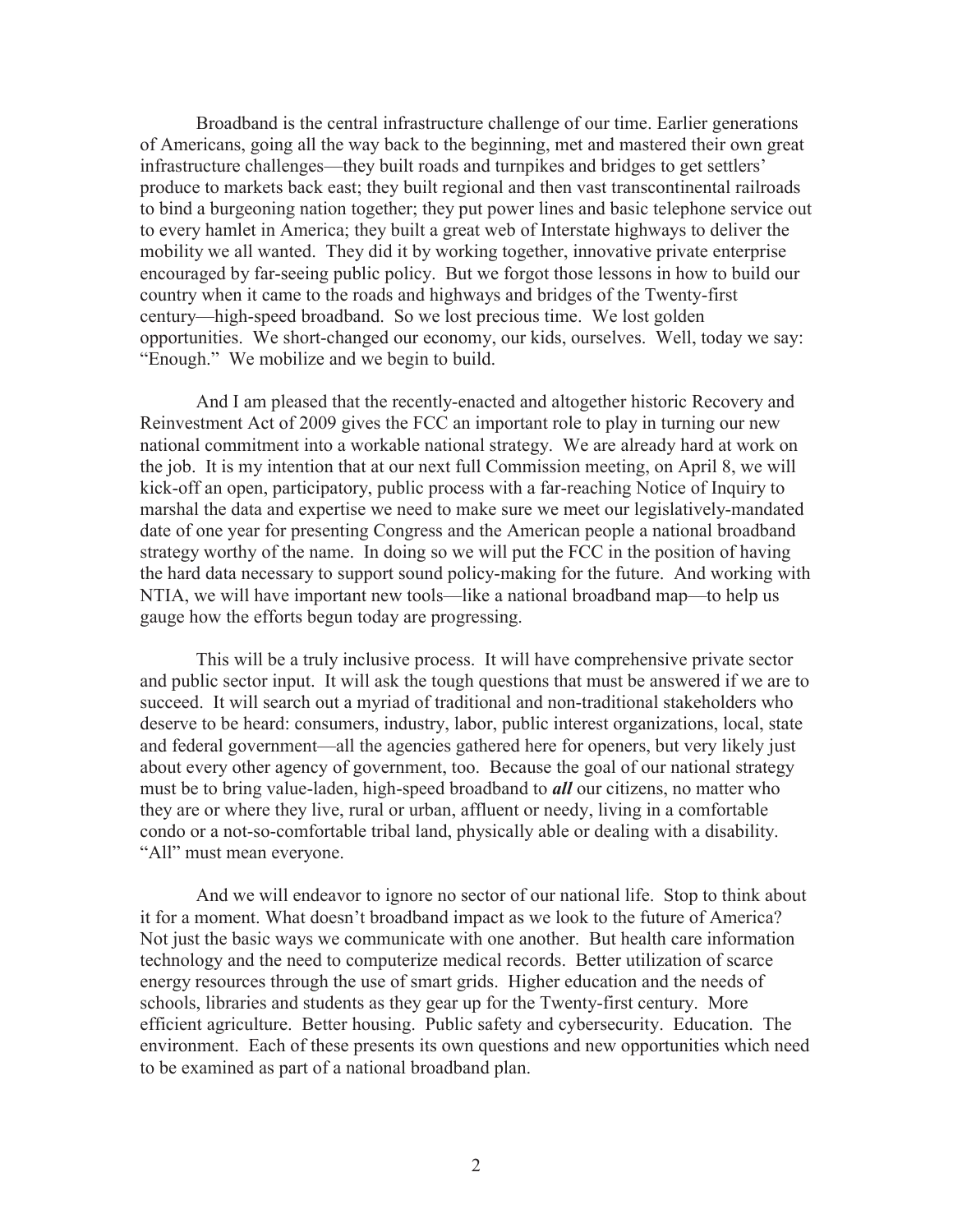Broadband is the central infrastructure challenge of our time. Earlier generations of Americans, going all the way back to the beginning, met and mastered their own great infrastructure challenges—they built roads and turnpikes and bridges to get settlers' produce to markets back east; they built regional and then vast transcontinental railroads to bind a burgeoning nation together; they put power lines and basic telephone service out to every hamlet in America; they built a great web of Interstate highways to deliver the mobility we all wanted. They did it by working together, innovative private enterprise encouraged by far-seeing public policy. But we forgot those lessons in how to build our country when it came to the roads and highways and bridges of the Twenty-first century—high-speed broadband. So we lost precious time. We lost golden opportunities. We short-changed our economy, our kids, ourselves. Well, today we say: "Enough." We mobilize and we begin to build.

And I am pleased that the recently-enacted and altogether historic Recovery and Reinvestment Act of 2009 gives the FCC an important role to play in turning our new national commitment into a workable national strategy. We are already hard at work on the job. It is my intention that at our next full Commission meeting, on April 8, we will kick-off an open, participatory, public process with a far-reaching Notice of Inquiry to marshal the data and expertise we need to make sure we meet our legislatively-mandated date of one year for presenting Congress and the American people a national broadband strategy worthy of the name. In doing so we will put the FCC in the position of having the hard data necessary to support sound policy-making for the future. And working with NTIA, we will have important new tools—like a national broadband map—to help us gauge how the efforts begun today are progressing.

This will be a truly inclusive process. It will have comprehensive private sector and public sector input. It will ask the tough questions that must be answered if we are to succeed. It will search out a myriad of traditional and non-traditional stakeholders who deserve to be heard: consumers, industry, labor, public interest organizations, local, state and federal government—all the agencies gathered here for openers, but very likely just about every other agency of government, too. Because the goal of our national strategy must be to bring value-laden, high-speed broadband to *all* our citizens, no matter who they are or where they live, rural or urban, affluent or needy, living in a comfortable condo or a not-so-comfortable tribal land, physically able or dealing with a disability. "All" must mean everyone.

And we will endeavor to ignore no sector of our national life. Stop to think about it for a moment. What doesn't broadband impact as we look to the future of America? Not just the basic ways we communicate with one another. But health care information technology and the need to computerize medical records. Better utilization of scarce energy resources through the use of smart grids. Higher education and the needs of schools, libraries and students as they gear up for the Twenty-first century. More efficient agriculture. Better housing. Public safety and cybersecurity. Education. The environment. Each of these presents its own questions and new opportunities which need to be examined as part of a national broadband plan.